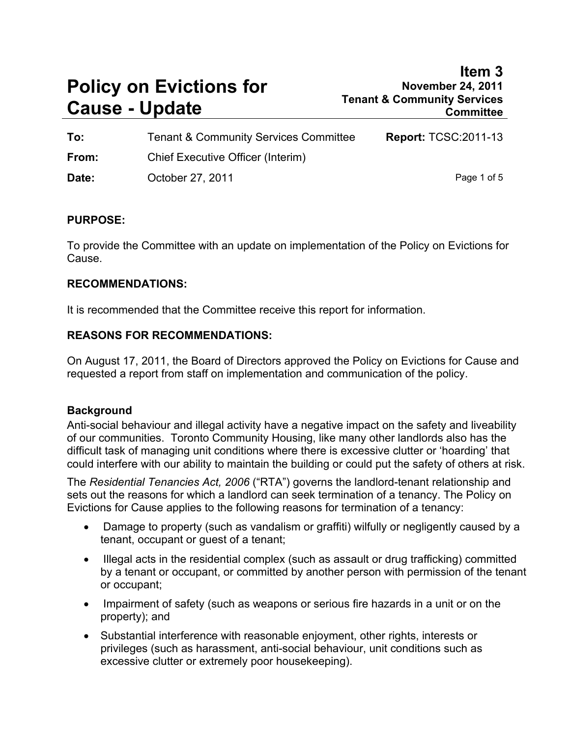# **Policy on Evictions for Cause - Update**

| To:   | <b>Tenant &amp; Community Services Committee</b> | <b>Report: TCSC:2011-13</b> |
|-------|--------------------------------------------------|-----------------------------|
| From: | Chief Executive Officer (Interim)                |                             |
| Date: | October 27, 2011                                 | Page 1 of 5                 |

#### **PURPOSE:**

To provide the Committee with an update on implementation of the Policy on Evictions for Cause.

#### **RECOMMENDATIONS:**

It is recommended that the Committee receive this report for information.

#### **REASONS FOR RECOMMENDATIONS:**

On August 17, 2011, the Board of Directors approved the Policy on Evictions for Cause and requested a report from staff on implementation and communication of the policy.

#### **Background**

Anti-social behaviour and illegal activity have a negative impact on the safety and liveability of our communities. Toronto Community Housing, like many other landlords also has the difficult task of managing unit conditions where there is excessive clutter or 'hoarding' that could interfere with our ability to maintain the building or could put the safety of others at risk.

The *Residential Tenancies Act, 2006* ("RTA") governs the landlord-tenant relationship and sets out the reasons for which a landlord can seek termination of a tenancy. The Policy on Evictions for Cause applies to the following reasons for termination of a tenancy:

- Damage to property (such as vandalism or graffiti) wilfully or negligently caused by a tenant, occupant or guest of a tenant;
- Illegal acts in the residential complex (such as assault or drug trafficking) committed by a tenant or occupant, or committed by another person with permission of the tenant or occupant;
- Impairment of safety (such as weapons or serious fire hazards in a unit or on the property); and
- Substantial interference with reasonable enjoyment, other rights, interests or privileges (such as harassment, anti-social behaviour, unit conditions such as excessive clutter or extremely poor housekeeping).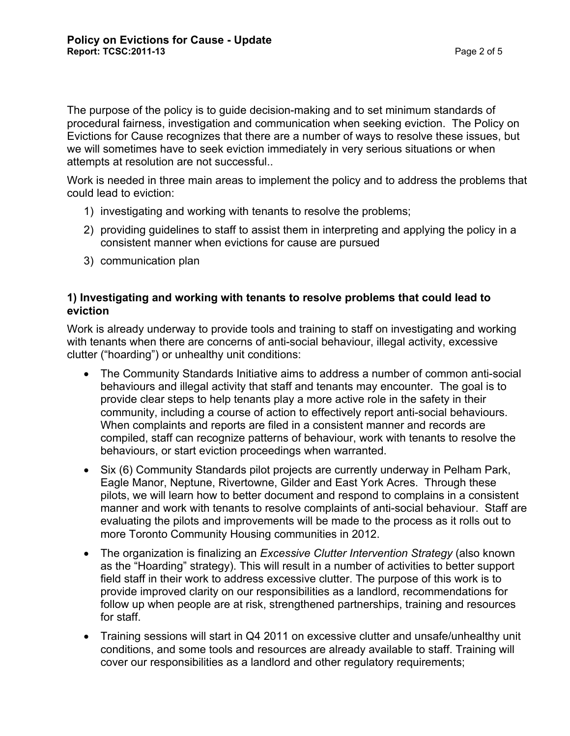The purpose of the policy is to guide decision-making and to set minimum standards of procedural fairness, investigation and communication when seeking eviction. The Policy on Evictions for Cause recognizes that there are a number of ways to resolve these issues, but we will sometimes have to seek eviction immediately in very serious situations or when attempts at resolution are not successful..

Work is needed in three main areas to implement the policy and to address the problems that could lead to eviction:

- 1) investigating and working with tenants to resolve the problems;
- 2) providing guidelines to staff to assist them in interpreting and applying the policy in a consistent manner when evictions for cause are pursued
- 3) communication plan

#### **1) Investigating and working with tenants to resolve problems that could lead to eviction**

Work is already underway to provide tools and training to staff on investigating and working with tenants when there are concerns of anti-social behaviour, illegal activity, excessive clutter ("hoarding") or unhealthy unit conditions:

- The Community Standards Initiative aims to address a number of common anti-social behaviours and illegal activity that staff and tenants may encounter. The goal is to provide clear steps to help tenants play a more active role in the safety in their community, including a course of action to effectively report anti-social behaviours. When complaints and reports are filed in a consistent manner and records are compiled, staff can recognize patterns of behaviour, work with tenants to resolve the behaviours, or start eviction proceedings when warranted.
- Six (6) Community Standards pilot projects are currently underway in Pelham Park, Eagle Manor, Neptune, Rivertowne, Gilder and East York Acres. Through these pilots, we will learn how to better document and respond to complains in a consistent manner and work with tenants to resolve complaints of anti-social behaviour. Staff are evaluating the pilots and improvements will be made to the process as it rolls out to more Toronto Community Housing communities in 2012.
- The organization is finalizing an *Excessive Clutter Intervention Strategy* (also known as the "Hoarding" strategy). This will result in a number of activities to better support field staff in their work to address excessive clutter. The purpose of this work is to provide improved clarity on our responsibilities as a landlord, recommendations for follow up when people are at risk, strengthened partnerships, training and resources for staff.
- Training sessions will start in Q4 2011 on excessive clutter and unsafe/unhealthy unit conditions, and some tools and resources are already available to staff. Training will cover our responsibilities as a landlord and other regulatory requirements;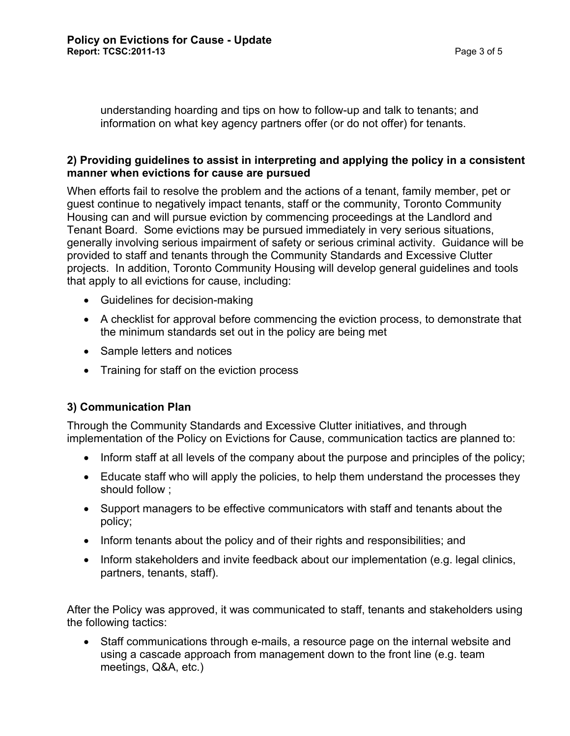understanding hoarding and tips on how to follow-up and talk to tenants; and information on what key agency partners offer (or do not offer) for tenants.

#### **2) Providing guidelines to assist in interpreting and applying the policy in a consistent manner when evictions for cause are pursued**

When efforts fail to resolve the problem and the actions of a tenant, family member, pet or guest continue to negatively impact tenants, staff or the community, Toronto Community Housing can and will pursue eviction by commencing proceedings at the Landlord and Tenant Board. Some evictions may be pursued immediately in very serious situations, generally involving serious impairment of safety or serious criminal activity. Guidance will be provided to staff and tenants through the Community Standards and Excessive Clutter projects. In addition, Toronto Community Housing will develop general guidelines and tools that apply to all evictions for cause, including:

- Guidelines for decision-making
- A checklist for approval before commencing the eviction process, to demonstrate that the minimum standards set out in the policy are being met
- Sample letters and notices
- Training for staff on the eviction process

#### **3) Communication Plan**

Through the Community Standards and Excessive Clutter initiatives, and through implementation of the Policy on Evictions for Cause, communication tactics are planned to:

- Inform staff at all levels of the company about the purpose and principles of the policy;
- Educate staff who will apply the policies, to help them understand the processes they should follow ;
- Support managers to be effective communicators with staff and tenants about the policy;
- Inform tenants about the policy and of their rights and responsibilities; and
- Inform stakeholders and invite feedback about our implementation (e.g. legal clinics, partners, tenants, staff).

After the Policy was approved, it was communicated to staff, tenants and stakeholders using the following tactics:

• Staff communications through e-mails, a resource page on the internal website and using a cascade approach from management down to the front line (e.g. team meetings, Q&A, etc.)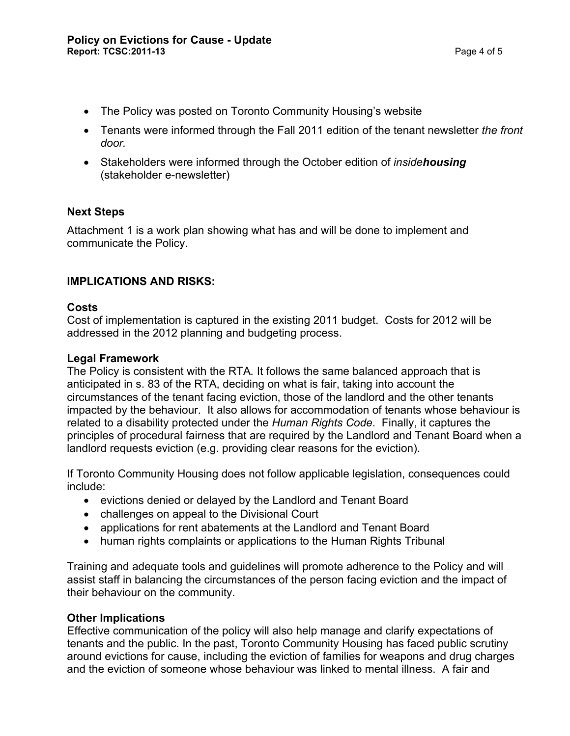- The Policy was posted on Toronto Community Housing's website
- Tenants were informed through the Fall 2011 edition of the tenant newsletter *the front door.*
- • Stakeholders were informed through the October edition of *insidehousing*(stakeholder e-newsletter)

#### **Next Steps**

Attachment 1 is a work plan showing what has and will be done to implement and communicate the Policy.

#### **IMPLICATIONS AND RISKS:**

#### **Costs**

Cost of implementation is captured in the existing 2011 budget. Costs for 2012 will be addressed in the 2012 planning and budgeting process.

#### **Legal Framework**

The Policy is consistent with the RTA*.* It follows the same balanced approach that is anticipated in s. 83 of the RTA, deciding on what is fair, taking into account the circumstances of the tenant facing eviction, those of the landlord and the other tenants impacted by the behaviour. It also allows for accommodation of tenants whose behaviour is related to a disability protected under the *Human Rights Code*. Finally, it captures the principles of procedural fairness that are required by the Landlord and Tenant Board when a landlord requests eviction (e.g. providing clear reasons for the eviction).

If Toronto Community Housing does not follow applicable legislation, consequences could include:

- evictions denied or delayed by the Landlord and Tenant Board
- challenges on appeal to the Divisional Court
- applications for rent abatements at the Landlord and Tenant Board
- human rights complaints or applications to the Human Rights Tribunal

Training and adequate tools and guidelines will promote adherence to the Policy and will assist staff in balancing the circumstances of the person facing eviction and the impact of their behaviour on the community.

#### **Other Implications**

Effective communication of the policy will also help manage and clarify expectations of tenants and the public. In the past, Toronto Community Housing has faced public scrutiny around evictions for cause, including the eviction of families for weapons and drug charges and the eviction of someone whose behaviour was linked to mental illness. A fair and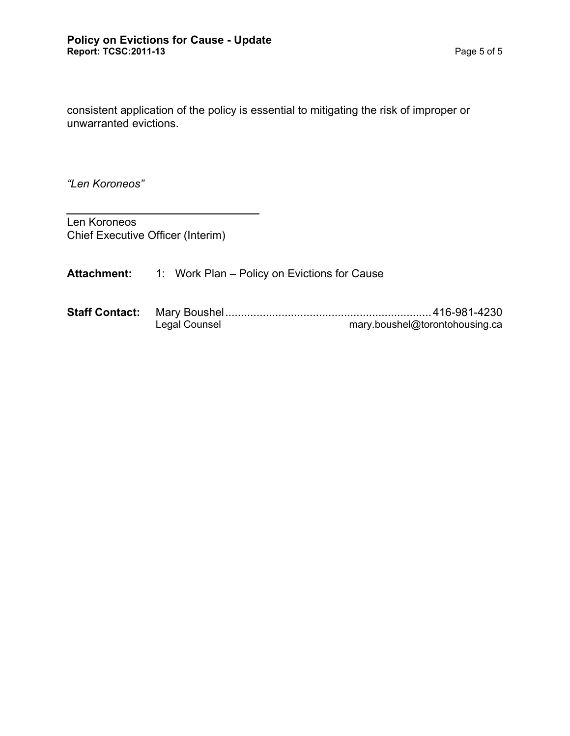consistent application of the policy is essential to mitigating the risk of improper or unwarranted evictions.

*"Len Koroneos"* 

Len Koroneos Chief Executive Officer (Interim)

**Attachment:** 1: Work Plan – Policy on Evictions for Cause

| Legal Counsel | mary.boushel@torontohousing.ca |
|---------------|--------------------------------|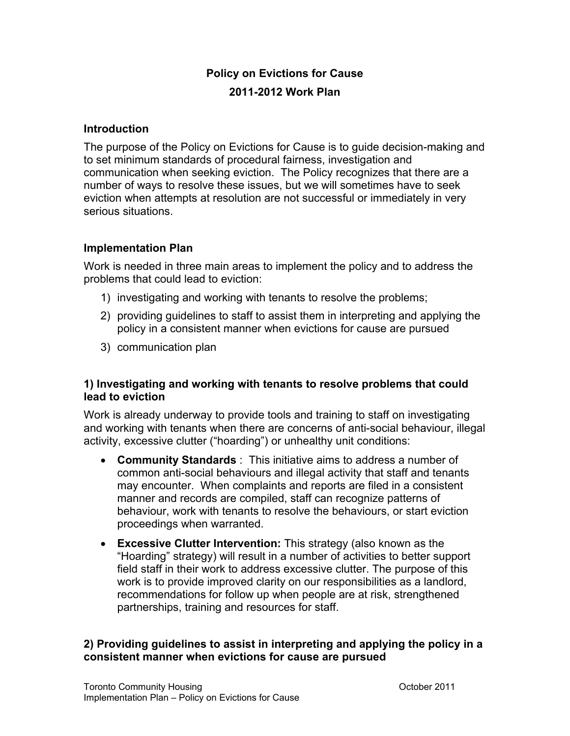### **Policy on Evictions for Cause 2011-2012 Work Plan**

#### **Introduction**

The purpose of the Policy on Evictions for Cause is to guide decision-making and to set minimum standards of procedural fairness, investigation and communication when seeking eviction. The Policy recognizes that there are a number of ways to resolve these issues, but we will sometimes have to seek eviction when attempts at resolution are not successful or immediately in very serious situations.

#### **Implementation Plan**

Work is needed in three main areas to implement the policy and to address the problems that could lead to eviction:

- 1) investigating and working with tenants to resolve the problems;
- 2) providing guidelines to staff to assist them in interpreting and applying the policy in a consistent manner when evictions for cause are pursued
- 3) communication plan

#### **1) Investigating and working with tenants to resolve problems that could lead to eviction**

Work is already underway to provide tools and training to staff on investigating and working with tenants when there are concerns of anti-social behaviour, illegal activity, excessive clutter ("hoarding") or unhealthy unit conditions:

- **Community Standards** : This initiative aims to address a number of common anti-social behaviours and illegal activity that staff and tenants may encounter. When complaints and reports are filed in a consistent manner and records are compiled, staff can recognize patterns of behaviour, work with tenants to resolve the behaviours, or start eviction proceedings when warranted.
- **Excessive Clutter Intervention:** This strategy (also known as the "Hoarding" strategy) will result in a number of activities to better support field staff in their work to address excessive clutter. The purpose of this work is to provide improved clarity on our responsibilities as a landlord, recommendations for follow up when people are at risk, strengthened partnerships, training and resources for staff.

#### **2) Providing guidelines to assist in interpreting and applying the policy in a consistent manner when evictions for cause are pursued**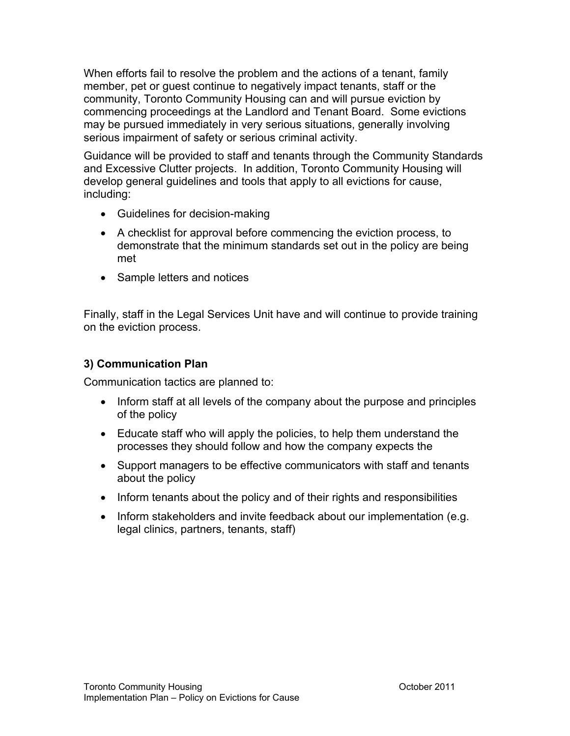When efforts fail to resolve the problem and the actions of a tenant, family member, pet or guest continue to negatively impact tenants, staff or the community, Toronto Community Housing can and will pursue eviction by commencing proceedings at the Landlord and Tenant Board. Some evictions may be pursued immediately in very serious situations, generally involving serious impairment of safety or serious criminal activity.

Guidance will be provided to staff and tenants through the Community Standards and Excessive Clutter projects. In addition, Toronto Community Housing will develop general guidelines and tools that apply to all evictions for cause, including:

- Guidelines for decision-making
- A checklist for approval before commencing the eviction process, to demonstrate that the minimum standards set out in the policy are being met
- Sample letters and notices

Finally, staff in the Legal Services Unit have and will continue to provide training on the eviction process.

#### **3) Communication Plan**

Communication tactics are planned to:

- Inform staff at all levels of the company about the purpose and principles of the policy
- Educate staff who will apply the policies, to help them understand the processes they should follow and how the company expects the
- Support managers to be effective communicators with staff and tenants about the policy
- Inform tenants about the policy and of their rights and responsibilities
- Inform stakeholders and invite feedback about our implementation (e.g. legal clinics, partners, tenants, staff)